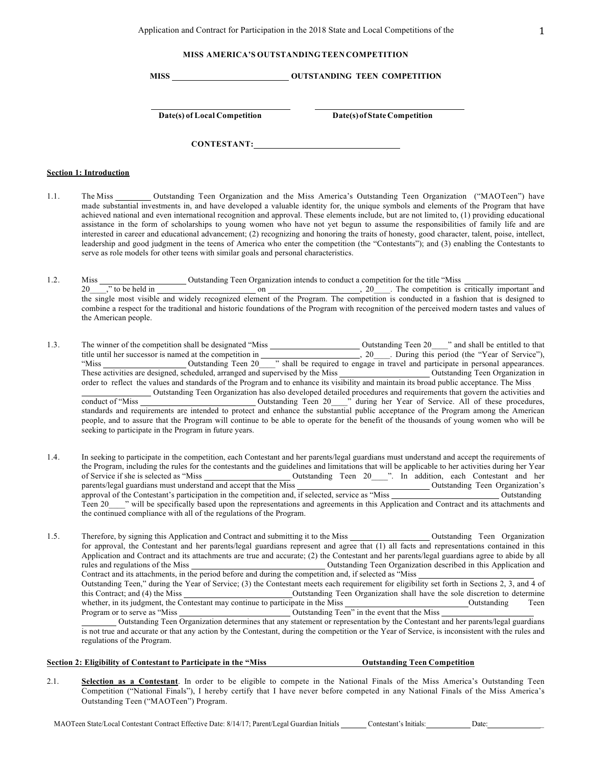# **MISS AMERICA'S OUTSTANDING TEEN COMPETITION**

**MISS OUTSTANDING TEEN COMPETITION**

**Date(s) of Local Competition Date(s) of State Competition**

**CONTESTANT:**

#### **Section 1: Introduction**

- 1.1. The Miss \_\_\_\_\_\_\_\_\_ Outstanding Teen Organization and the Miss America's Outstanding Teen Organization ("MAOTeen") have made substantial investments in, and have developed a valuable identity for, the unique symbols and elements of the Program that have achieved national and even international recognition and approval. These elements include, but are not limited to, (1) providing educational assistance in the form of scholarships to young women who have not yet begun to assume the responsibilities of family life and are interested in career and educational advancement; (2) recognizing and honoring the traits of honesty, good character, talent, poise, intellect, leadership and good judgment in the teens of America who enter the competition (the "Contestants"); and (3) enabling the Contestants to serve as role models for other teens with similar goals and personal characteristics.
- 1.2. Miss Outstanding Teen Organization intends to conduct a competition for the title "Miss 20  $\cdots$ , " to be held in  $\cdots$  on  $\cdots$  on  $\cdots$  , 20  $\cdots$  The competition is critically important and the single most visible and widely recognized element of the Program. The competition is conducted in a fashion that is designed to combine a respect for the traditional and historic foundations of the Program with recognition of the perceived modern tastes and values of the American people.
- 1.3. The winner of the competition shall be designated "Miss Outstanding Teen 20\_\_\_\_" and shall be entitled to that title until her successor is named at the competition in  $\qquad \qquad 20 \qquad$ . During this period (the "Year of Service"), "Miss Cutstanding Teen 20<sup>-1</sup> shall be required to engage in travel and participate in personal appearances. These activities are designed, scheduled, arranged and supervised by the Miss Outstanding Teen Organization in order to reflect the values and standards of the Program and to enhance its visibility and maintain its broad public acceptance. The Miss Outstanding Teen Organization has also developed detailed procedures and requirements that govern the activities and conduct of "Miss Conduct of "Miss Conduct of "Miss" conduct of "Miss" during her Year of Service. All of these procedures, standards and requirements are intended to protect and enhance the substantial public acceptance of the Program among the American people, and to assure that the Program will continue to be able to operate for the benefit of the thousands of young women who will be seeking to participate in the Program in future years.
- 1.4. In seeking to participate in the competition, each Contestant and her parents/legal guardians must understand and accept the requirements of the Program, including the rules for the contestants and the guidelines and limitations that will be applicable to her activities during her Year of Service if she is selected as "Miss Outstanding Teen 20\_\_\_\_". In addition, each Contestant and her parents/legal guardians must understand and accept that the Miss **Outstanding Teen Organization's** approval of the Contestant's participation in the competition and, if selected, service as "Miss Outstanding Teen 20\_\_\_\_" will be specifically based upon the representations and agreements in this Application and Contract and its attachments and the continued compliance with all of the regulations of the Program.

1.5. Therefore, by signing this Application and Contract and submitting it to the Miss Outstanding Teen Organization for approval, the Contestant and her parents/legal guardians represent and agree that (1) all facts and representations contained in this Application and Contract and its attachments are true and accurate; (2) the Contestant and her parents/legal guardians agree to abide by all rules and regulations of the Miss Outstanding Teen Organization described in this Application and Contract and its attachments, in the period before and during the competition and, if selected as "Miss Outstanding Teen," during the Year of Service; (3) the Contestant meets each requirement for eligibility set forth in Sections 2, 3, and 4 of this Contract; and (4) the Miss Outstanding Teen Organization shall have the sole discretion to determine whether, in its judgment, the Contestant may continue to participate in the Miss Cutstanding Teen Program or to serve as "Miss Outstanding Teen" in the event that the Miss Outstanding Teen Organization determines that any statement or representation by the Contestant and her parents/legal guardians

is not true and accurate or that any action by the Contestant, during the competition or the Year of Service, is inconsistent with the rules and regulations of the Program.

# **Section 2: Eligibility of Contestant to Participate in the "Miss Outstanding Teen Competition**

2.1. **Selection as a Contestant**. In order to be eligible to compete in the National Finals of the Miss America's Outstanding Teen Competition ("National Finals"), I hereby certify that I have never before competed in any National Finals of the Miss America's Outstanding Teen ("MAOTeen") Program.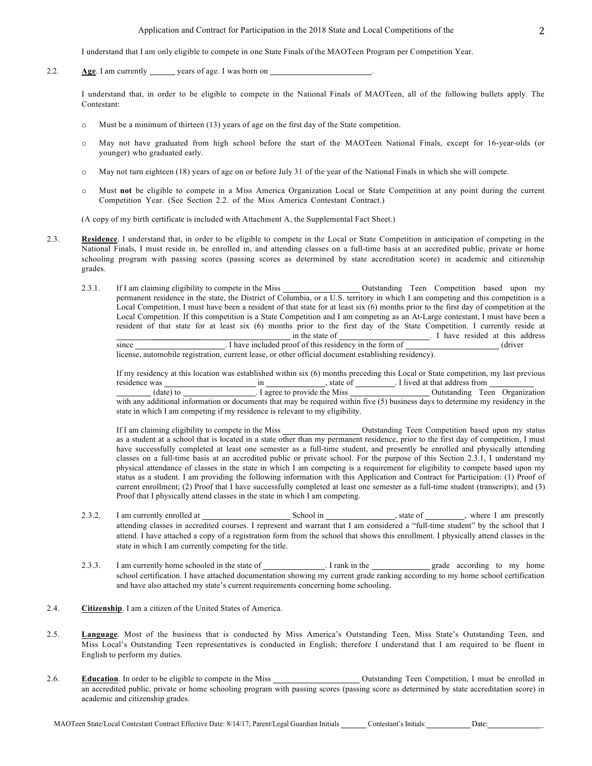I understand that I am only eligible to compete in one State Finals of the MAOTeen Program per Competition Year.

2.2. **Age**. I am currently years of age. I was born on

I understand that, in order to be eligible to compete in the National Finals of MAOTeen, all of the following bullets apply. The Contestant:

- o Must be a minimum of thirteen (13) years of age on the first day of the State competition.
- o May not have graduated from high school before the start of the MAOTeen National Finals, except for 16-year-olds (or younger) who graduated early.
- o May not turn eighteen (18) years of age on or before July 31 of the year of the National Finals in which she will compete.
- o Must **not** be eligible to compete in a Miss America Organization Local or State Competition at any point during the current Competition Year. (See Section 2.2. of the Miss America Contestant Contract.)

(A copy of my birth certificate is included with Attachment A, the Supplemental Fact Sheet.)

- 2.3. **Residence**. I understand that, in order to be eligible to compete in the Local or State Competition in anticipation of competing in the National Finals, I must reside in, be enrolled in, and attending classes on a full-time basis at an accredited public, private or home schooling program with passing scores (passing scores as determined by state accreditation score) in academic and citizenship grades.
	- 2.3.1. If I am claiming eligibility to compete in the Miss **Outstanding Teen** Competition based upon my permanent residence in the state, the District of Columbia, or a U.S. territory in which I am competing and this competition is a Local Competition, I must have been a resident of that state for at least six (6) months prior to the first day of competition at the Local Competition. If this competition is a State Competition and I am competing as an At-Large contestant, I must have been a resident of that state for at least six (6) months prior to the first day of the State Competition. I currently reside at \_\_\_\_\_\_\_\_\_\_\_\_ in the state of . I have resided at this address since **Example 2.1** I have included proof of this residency in the form of (driver)

license, automobile registration, current lease, or other official document establishing residency).

If my residency at this location was established within six (6) months preceding this Local or State competition, my last previous residence was in , state of . I lived at that address from

(date) to . I agree to provide the Miss Outstanding Teen Organization with any additional information or documents that may be required within five (5) business days to determine my residency in the state in which I am competing if my residence is relevant to my eligibility.

If I am claiming eligibility to compete in the Miss \_\_\_\_\_\_\_\_\_\_\_\_\_\_\_\_\_\_\_\_\_\_\_\_\_\_\_\_\_ Outstanding Teen Competition based upon my status as a student at a school that is located in a state other than my permanent residence, prior to the first day of competition, I must have successfully completed at least one semester as a full-time student, and presently be enrolled and physically attending classes on a full-time basis at an accredited public or private school. For the purpose of this Section 2.3.1, I understand my physical attendance of classes in the state in which I am competing is a requirement for eligibility to compete based upon my status as a student. I am providing the following information with this Application and Contract for Participation: (1) Proof of current enrollment; (2) Proof that I have successfully completed at least one semester as a full-time student (transcripts); and (3) Proof that I physically attend classes in the state in which I am competing.

- 2.3.2. I am currently enrolled at School in School in state of , where I am presently attending classes in accredited courses. I represent and warrant that I am considered a "full-time student" by the school that I attend. I have attached a copy of a registration form from the school that shows this enrollment. I physically attend classes in the state in which I am currently competing for the title.
- 2.3.3. I am currently home schooled in the state of . I rank in the grade according to my home school certification. I have attached documentation showing my current grade ranking according to my home school certification and have also attached my state's current requirements concerning home schooling.
- 2.4. **Citizenship**. I am a citizen of the United States of America.
- 2.5. **Language**. Most of the business that is conducted by Miss America's Outstanding Teen, Miss State's Outstanding Teen, and Miss Local's Outstanding Teen representatives is conducted in English; therefore I understand that I am required to be fluent in English to perform my duties.
- 2.6. **Education**. In order to be eligible to compete in the Miss Outstanding Teen Competition, I must be enrolled in an accredited public, private or home schooling program with passing scores (passing score as determined by state accreditation score) in academic and citizenship grades.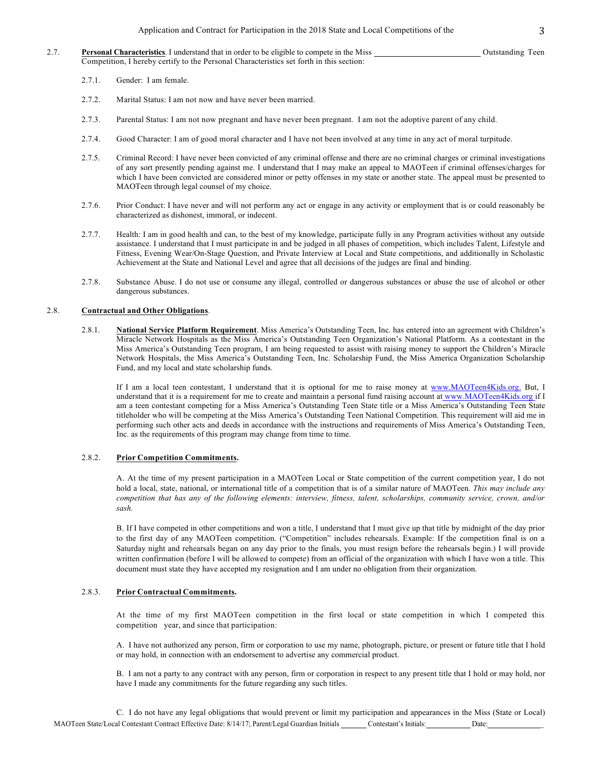- 2.7. **Personal Characteristics**. I understand that in order to be eligible to compete in the Miss Outstanding Teen Competition, I hereby certify to the Personal Characteristics set forth in this section:
	- 2.7.1. Gender: I am female.
	- 2.7.2. Marital Status: I am not now and have never been married.
	- 2.7.3. Parental Status: I am not now pregnant and have never been pregnant. I am not the adoptive parent of any child.
	- 2.7.4. Good Character: I am of good moral character and I have not been involved at any time in any act of moral turpitude.
	- 2.7.5. Criminal Record: I have never been convicted of any criminal offense and there are no criminal charges or criminal investigations of any sort presently pending against me. I understand that I may make an appeal to MAOTeen if criminal offenses/charges for which I have been convicted are considered minor or petty offenses in my state or another state. The appeal must be presented to MAOTeen through legal counsel of my choice.
	- 2.7.6. Prior Conduct: I have never and will not perform any act or engage in any activity or employment that is or could reasonably be characterized as dishonest, immoral, or indecent.
	- 2.7.7. Health: I am in good health and can, to the best of my knowledge, participate fully in any Program activities without any outside assistance. I understand that I must participate in and be judged in all phases of competition, which includes Talent, Lifestyle and Fitness, Evening Wear/On-Stage Question, and Private Interview at Local and State competitions, and additionally in Scholastic Achievement at the State and National Level and agree that all decisions of the judges are final and binding.
	- 2.7.8. Substance Abuse. I do not use or consume any illegal, controlled or dangerous substances or abuse the use of alcohol or other dangerous substances.

#### 2.8. **Contractual and Other Obligations**.

2.8.1. **National Service Platform Requirement**. Miss America's Outstanding Teen, Inc. has entered into an agreement with Children's Miracle Network Hospitals as the Miss America's Outstanding Teen Organization's National Platform. As a contestant in the Miss America's Outstanding Teen program, I am being requested to assist with raising money to support the Children's Miracle Network Hospitals, the Miss America's Outstanding Teen, Inc. Scholarship Fund, the Miss America Organization Scholarship Fund, and my local and state scholarship funds.

If I am a local teen contestant, I understand that it is optional for me to raise money at www.MAOTeen4Kids.org. But, I understand that it is a requirement for me to create and maintain a personal fund raising account at www.MAOTeen4Kids.org if I am a teen contestant competing for a Miss America's Outstanding Teen State title or a Miss America's Outstanding Teen State titleholder who will be competing at the Miss America's Outstanding Teen National Competition. This requirement will aid me in performing such other acts and deeds in accordance with the instructions and requirements of Miss America's Outstanding Teen, Inc. as the requirements of this program may change from time to time.

## 2.8.2. **Prior Competition Commitments.**

A. At the time of my present participation in a MAOTeen Local or State competition of the current competition year, I do not hold a local, state, national, or international title of a competition that is of a similar nature of MAOTeen. *This may include any competition that has any of the following elements: interview, fitness, talent, scholarships, community service, crown, and/or sash.*

B. If I have competed in other competitions and won a title, I understand that I must give up that title by midnight of the day prior to the first day of any MAOTeen competition. ("Competition" includes rehearsals. Example: If the competition final is on a Saturday night and rehearsals began on any day prior to the finals, you must resign before the rehearsals begin.) I will provide written confirmation (before I will be allowed to compete) from an official of the organization with which I have won a title. This document must state they have accepted my resignation and I am under no obligation from their organization.

### 2.8.3. **Prior Contractual Commitments.**

At the time of my first MAOTeen competition in the first local or state competition in which I competed this competition year, and since that participation:

A. I have not authorized any person, firm or corporation to use my name, photograph, picture, or present or future title that I hold or may hold, in connection with an endorsement to advertise any commercial product.

B. I am not a party to any contract with any person, firm or corporation in respect to any present title that I hold or may hold, nor have I made any commitments for the future regarding any such titles.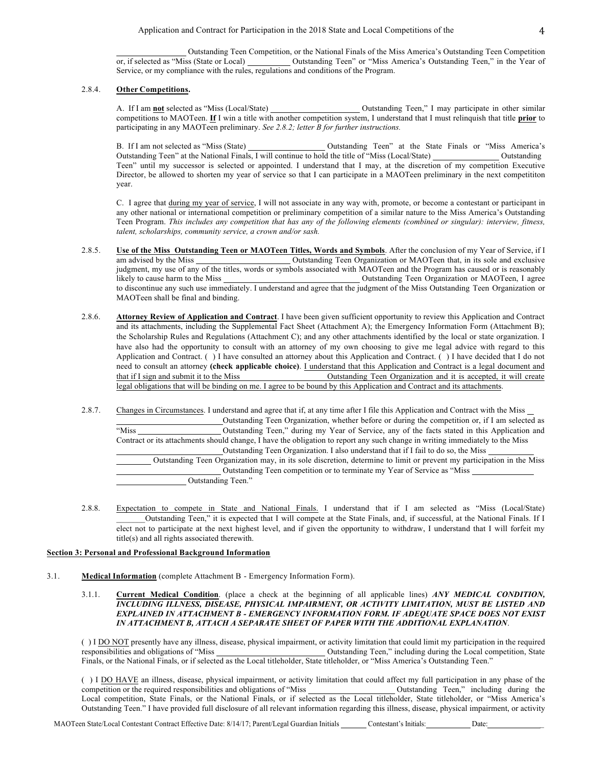Outstanding Teen Competition, or the National Finals of the Miss America's Outstanding Teen Competition Outstanding Teen" or "Miss America's Outstanding Teen," in the Year of Service, or my compliance with the rules, regulations and conditions of the Program.

## 2.8.4. **Other Competitions.**

A. If I am **not** selected as "Miss (Local/State) Outstanding Teen," I may participate in other similar competitions to MAOTeen. **If** I win a title with another competition system, I understand that I must relinquish that title **prior** to participating in any MAOTeen preliminary. *See 2.8.2; letter B for further instructions.*

B. If I am not selected as "Miss (State) Outstanding Teen" at the State Finals or "Miss America's Outstanding Teen" at the National Finals, I will continue to hold the title of "Miss (Local/State) Outstanding Teen" until my successor is selected or appointed. I understand that I may, at the discretion of my competition Executive Director, be allowed to shorten my year of service so that I can participate in a MAOTeen preliminary in the next competititon year.

C. I agree that during my year of service, I will not associate in any way with, promote, or become a contestant or participant in any other national or international competition or preliminary competition of a similar nature to the Miss America's Outstanding Teen Program. *This includes any competition that has any of the following elements (combined or singular): interview, fitness, talent, scholarships, community service, a crown and/or sash.*

- 2.8.5. **Use of the Miss Outstanding Teen or MAOTeen Titles, Words and Symbols**. After the conclusion of my Year of Service, if I am advised by the Miss Outstanding Teen Organization or MAOTeen that, in its sole and exclusive judgment, my use of any of the titles, words or symbols associated with MAOTeen and the Program has caused or is reasonably likely to cause harm to the Miss Outstanding Teen Organization or MAOTeen, I agree to discontinue any such use immediately. I understand and agree that the judgment of the Miss Outstanding Teen Organization or MAOTeen shall be final and binding.
- 2.8.6. **Attorney Review of Application and Contract**. I have been given sufficient opportunity to review this Application and Contract and its attachments, including the Supplemental Fact Sheet (Attachment A); the Emergency Information Form (Attachment B); the Scholarship Rules and Regulations (Attachment C); and any other attachments identified by the local or state organization. I have also had the opportunity to consult with an attorney of my own choosing to give me legal advice with regard to this Application and Contract. ( ) I have consulted an attorney about this Application and Contract. ( ) I have decided that I do not need to consult an attorney **(check applicable choice)**. I understand that this Application and Contract is a legal document and that if I sign and submit it to the Miss Outstanding Teen Organization and it is accepted, it will create legal obligations that will be binding on me. I agree to be bound by this Application and Contract and its attachments.
- 2.8.7. Changes in Circumstances. I understand and agree that if, at any time after I file this Application and Contract with the Miss Outstanding Teen Organization, whether before or during the competition or, if I am selected as "Miss Outstanding Teen," during my Year of Service, any of the facts stated in this Application and Contract or its attachments should change, I have the obligation to report any such change in writing immediately to the Miss Outstanding Teen Organization. I also understand that if I fail to do so, the Miss Outstanding Teen Organization may, in its sole discretion, determine to limit or prevent my participation in the Miss Outstanding Teen competition or to terminate my Year of Service as "Miss Outstanding Teen."
- 2.8.8. Expectation to compete in State and National Finals. I understand that if I am selected as "Miss (Local/State) \_\_\_\_\_\_\_Outstanding Teen," it is expected that I will compete at the State Finals, and, if successful, at the National Finals. If I elect not to participate at the next highest level, and if given the opportunity to withdraw, I understand that I will forfeit my title(s) and all rights associated therewith.

## **Section 3: Personal and Professional Background Information**

- 3.1. **Medical Information** (complete Attachment B Emergency Information Form).
	- 3.1.1. **Current Medical Condition**. (place a check at the beginning of all applicable lines) *ANY MEDICAL CONDITION, INCLUDING ILLNESS, DISEASE, PHYSICAL IMPAIRMENT, OR ACTIVITY LIMITATION, MUST BE LISTED AND EXPLAINED IN ATTACHMENT B - EMERGENCY INFORMATION FORM. IF ADEQUATE SPACE DOES NOT EXIST IN ATTACHMENT B, ATTACH A SEPARATE SHEET OF PAPER WITH THE ADDITIONAL EXPLANATION*.

() I <u>DO NOT</u> presently have any illness, disease, physical impairment, or activity limitation that could limit my participation in the required responsibilities and obligations of "Miss" Outstanding Teen," including durin Outstanding Teen," including during the Local competition, State Finals, or the National Finals, or if selected as the Local titleholder, State titleholder, or "Miss America's Outstanding Teen."

( ) I DO HAVE an illness, disease, physical impairment, or activity limitation that could affect my full participation in any phase of the competition or the required responsibilities and obligations of "Miss Cutstanding Teen," including during the Local competition, State Finals, or the National Finals, or if selected as the Local titleholder, State titleholder, or "Miss America's Outstanding Teen." I have provided full disclosure of all relevant information regarding this illness, disease, physical impairment, or activity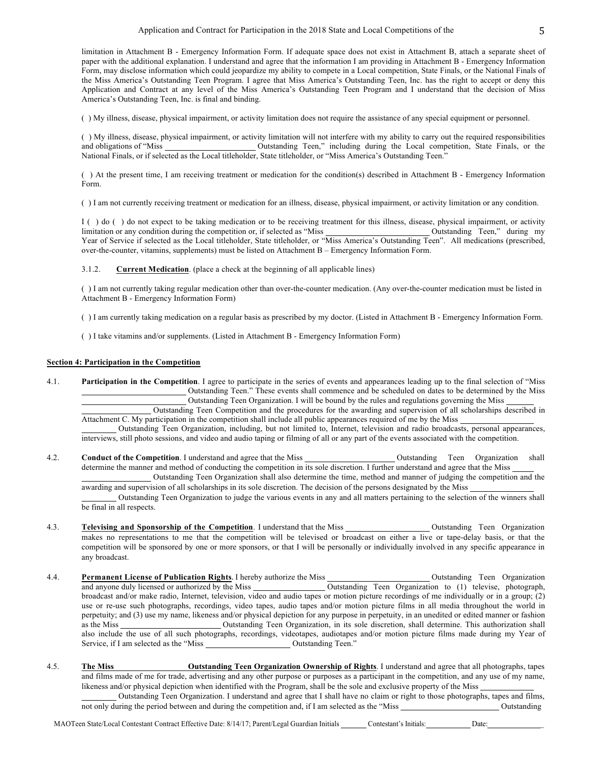limitation in Attachment B - Emergency Information Form. If adequate space does not exist in Attachment B, attach a separate sheet of paper with the additional explanation. I understand and agree that the information I am providing in Attachment B - Emergency Information Form, may disclose information which could jeopardize my ability to compete in a Local competition, State Finals, or the National Finals of the Miss America's Outstanding Teen Program. I agree that Miss America's Outstanding Teen, Inc. has the right to accept or deny this Application and Contract at any level of the Miss America's Outstanding Teen Program and I understand that the decision of Miss America's Outstanding Teen, Inc. is final and binding.

( ) My illness, disease, physical impairment, or activity limitation does not require the assistance of any special equipment or personnel.

( ) My illness, disease, physical impairment, or activity limitation will not interfere with my ability to carry out the required responsibilities and obligations of "Miss Outstanding Teen," including during the Local competition, State Finals, or the National Finals, or if selected as the Local titleholder, State titleholder, or "Miss America's Outstanding Teen."

( ) At the present time, I am receiving treatment or medication for the condition(s) described in Attachment B - Emergency Information Form.

( ) I am not currently receiving treatment or medication for an illness, disease, physical impairment, or activity limitation or any condition.

I ( ) do ( ) do not expect to be taking medication or to be receiving treatment for this illness, disease, physical impairment, or activity limitation or any condition during the competition or, if selected as "Miss Outstanding Teen," during my Year of Service if selected as the Local titleholder, State titleholder, or "Miss America's Outstanding Teen". All medications (prescribed, over-the-counter, vitamins, supplements) must be listed on Attachment B – Emergency Information Form.

3.1.2. **Current Medication**. (place a check at the beginning of all applicable lines)

( ) I am not currently taking regular medication other than over-the-counter medication. (Any over-the-counter medication must be listed in Attachment B - Emergency Information Form)

( ) I am currently taking medication on a regular basis as prescribed by my doctor. (Listed in Attachment B - Emergency Information Form.

( ) I take vitamins and/or supplements. (Listed in Attachment B - Emergency Information Form)

### **Section 4: Participation in the Competition**

4.1. **Participation in the Competition**. I agree to participate in the series of events and appearances leading up to the final selection of "Miss Outstanding Teen." These events shall commence and be scheduled on dates to be determined by the Miss Outstanding Teen Organization. I will be bound by the rules and regulations governing the Miss

Outstanding Teen Competition and the procedures for the awarding and supervision of all scholarships described in Attachment C. My participation in the competition shall include all public appearances required of me by the Miss

Outstanding Teen Organization, including, but not limited to, Internet, television and radio broadcasts, personal appearances, interviews, still photo sessions, and video and audio taping or filming of all or any part of the events associated with the competition.

4.2. **Conduct of the Competition**. I understand and agree that the Miss **OULS** Outstanding Teen Organization shall determine the manner and method of conducting the competition in its sole discretion. I further understand and agree that the Miss Outstanding Teen Organization shall also determine the time, method and manner of judging the competition and the

awarding and supervision of all scholarships in its sole discretion. The decision of the persons designated by the Miss

Outstanding Teen Organization to judge the various events in any and all matters pertaining to the selection of the winners shall be final in all respects.

- 4.3. **Televising and Sponsorship of the Competition**. I understand that the Miss **Competition** Outstanding Teen Organization makes no representations to me that the competition will be televised or broadcast on either a live or tape-delay basis, or that the competition will be sponsored by one or more sponsors, or that I will be personally or individually involved in any specific appearance in any broadcast.
- 4.4. **Permanent License of Publication Rights**. I hereby authorize the Miss **Constant Access** Outstanding Teen Organization and anyone duly licensed or authorized by the Miss Outstanding Teen Organization to (1) televise, photograph, broadcast and/or make radio, Internet, television, video and audio tapes or motion picture recordings of me individually or in a group; (2) use or re-use such photographs, recordings, video tapes, audio tapes and/or motion picture films in all media throughout the world in perpetuity; and (3) use my name, likeness and/or physical depiction for any purpose in perpetuity, in an unedited or edited manner or fashion as the Miss <u>Course outstanding</u> Teen Organization, in its sole discretion, shall determine. This authorization shall also include the use of all such photographs, recordings, videotapes, audiotapes and/or motion picture films made during my Year of Service, if I am selected as the "Miss Outstanding Teen."
- 4.5. **The Miss Outstanding Teen Organization Ownership of Rights**. I understand and agree that all photographs, tapes and films made of me for trade, advertising and any other purpose or purposes as a participant in the competition, and any use of my name, likeness and/or physical depiction when identified with the Program, shall be the sole and exclusive property of the Miss Outstanding Teen Organization. I understand and agree that I shall have no claim or right to those photographs, tapes and films,

not only during the period between and during the competition and, if I am selected as the "Miss Outstanding Outstanding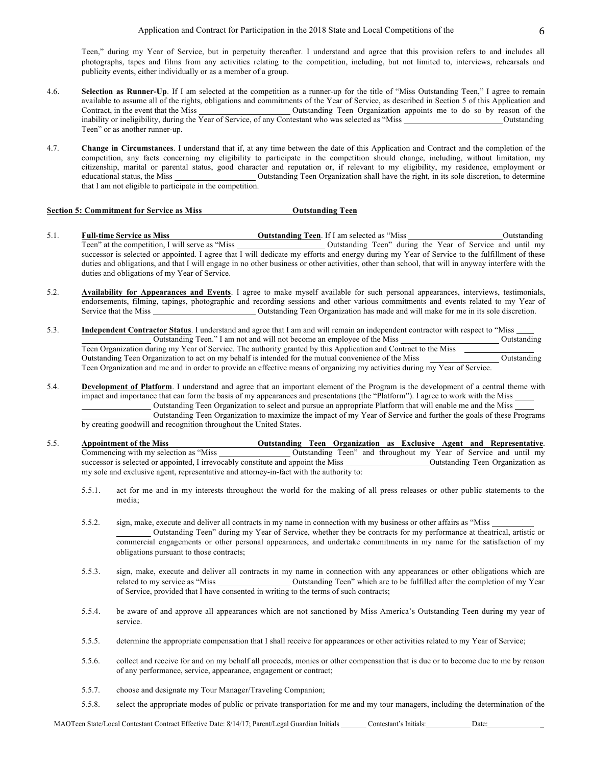Teen," during my Year of Service, but in perpetuity thereafter. I understand and agree that this provision refers to and includes all photographs, tapes and films from any activities relating to the competition, including, but not limited to, interviews, rehearsals and publicity events, either individually or as a member of a group.

- 4.6. **Selection as Runner-Up**. If I am selected at the competition as a runner-up for the title of "Miss Outstanding Teen," I agree to remain available to assume all of the rights, obligations and commitments of the Year of Service, as described in Section 5 of this Application and Contract, in the event that the Miss Outstanding Teen Organization appoints me to do so by reason of the inability or ineligibility, during the Year of Service, of any Contestant who was selected as "Miss Outstanding" Outstanding Teen" or as another runner-up.
- 4.7. **Change in Circumstances**. I understand that if, at any time between the date of this Application and Contract and the completion of the competition, any facts concerning my eligibility to participate in the competition should change, including, without limitation, my citizenship, marital or parental status, good character and reputation or, if relevant to my eligibility, my residence, employment or educational status, the Miss Outstanding Teen Organization shall have the right, in its sole discretion, to determine that I am not eligible to participate in the competition.

## **Section 5: Commitment for Service as Miss Outstanding Teen**

- 5.1. **Full-time Service as Miss Outstanding Teen**. If I am selected as "Miss **Outstanding Teen**" at the competition, I will serve as "Miss **Outstanding Teen**" during the Year of Service and until my Outstanding Teen" during the Year of Service and until my successor is selected or appointed. I agree that I will dedicate my efforts and energy during my Year of Service to the fulfillment of these duties and obligations, and that I will engage in no other business or other activities, other than school, that will in anyway interfere with the duties and obligations of my Year of Service.
- 5.2. **Availability for Appearances and Events**. I agree to make myself available for such personal appearances, interviews, testimonials, endorsements, filming, tapings, photographic and recording sessions and other various commitments and events related to my Year of Service that the Miss Outstanding Teen Organization has made and will make for me in its sole discretion.
- 5.3. **Independent Contractor Status**. I understand and agree that I am and will remain an independent contractor with respect to "Miss Outstanding Teen." I am not and will not become an employee of the Miss Outstanding Teen Organization during my Year of Service. The authority granted by this Application and Contract to the Miss Outstanding Teen Organization to act on my behalf is intended for the mutual convenience of the Miss Cutstanding Teen Organization and me and in order to provide an effective means of organizing my activities during my Year of Service.
- 5.4. **Development of Platform**. I understand and agree that an important element of the Program is the development of a central theme with impact and importance that can form the basis of my appearances and presentations (the "Platform"). I agree to work with the Miss Outstanding Teen Organization to select and pursue an appropriate Platform that will enable me and the Miss

Outstanding Teen Organization to maximize the impact of my Year of Service and further the goals of these Programs by creating goodwill and recognition throughout the United States.

- 5.5. **Appointment of the Miss Outstanding Teen Organization as Exclusive Agent and Representative.**<br>Commencing with my selection as "Miss **Outstanding Teen**" and throughout my Year of Service and until my Outstanding Teen" and throughout my Year of Service and until my successor is selected or appointed, I irrevocably constitute and appoint the Miss Outstanding Teen Organization as my sole and exclusive agent, representative and attorney-in-fact with the authority to:
	- 5.5.1. act for me and in my interests throughout the world for the making of all press releases or other public statements to the media;
	- 5.5.2. sign, make, execute and deliver all contracts in my name in connection with my business or other affairs as "Miss Outstanding Teen" during my Year of Service, whether they be contracts for my performance at theatrical, artistic or commercial engagements or other personal appearances, and undertake commitments in my name for the satisfaction of my obligations pursuant to those contracts;
	- 5.5.3. sign, make, execute and deliver all contracts in my name in connection with any appearances or other obligations which are related to my service as "Miss Outstanding Teen" which are to be fulfilled after the completion of my Year of Service, provided that I have consented in writing to the terms of such contracts;
	- 5.5.4. be aware of and approve all appearances which are not sanctioned by Miss America's Outstanding Teen during my year of service.
	- 5.5.5. determine the appropriate compensation that I shall receive for appearances or other activities related to my Year of Service;
	- 5.5.6. collect and receive for and on my behalf all proceeds, monies or other compensation that is due or to become due to me by reason of any performance, service, appearance, engagement or contract;
	- 5.5.7. choose and designate my Tour Manager/Traveling Companion;
	- 5.5.8. select the appropriate modes of public or private transportation for me and my tour managers, including the determination of the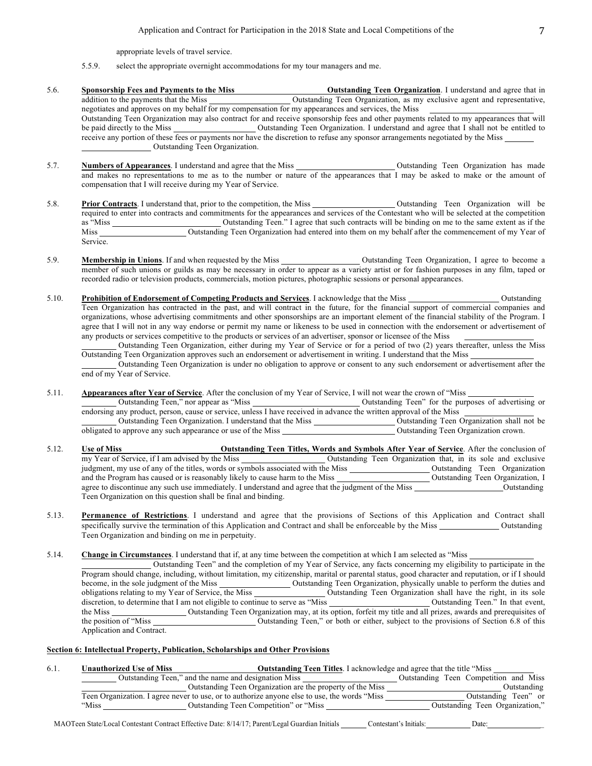appropriate levels of travel service.

#### 5.5.9. select the appropriate overnight accommodations for my tour managers and me.

- 5.6. **Sponsorship Fees and Payments to the Miss Outstanding Teen Organization**. I understand and agree that in addition to the payments that the Miss Outstanding Teen Organization, as my exclusive agent and representative, negotiates and approves on my behalf for my compensation for my appearances and services, the Miss Outstanding Teen Organization may also contract for and receive sponsorship fees and other payments related to my appearances that will be paid directly to the Miss Outstanding Teen Organization. I understand and agree that I shall not be entitled to receive any portion of these fees or payments nor have the discretion to refuse any sponsor arrangements negotiated by the Miss Outstanding Teen Organization.
- 5.7. **Numbers of Appearances**. I understand and agree that the Miss Outstanding Teen Organization has made and makes no representations to me as to the number or nature of the appearances that I may be asked to make or the amount of compensation that I will receive during my Year of Service.
- 5.8. **Prior Contracts**. I understand that, prior to the competition, the Miss Outstanding Teen Organization will be required to enter into contracts and commitments for the appearances and services of the Contestant who will be selected at the competition as "Miss Coutstanding Teen." I agree that such contracts will be binding on me to the same extent as if the Miss Coutstanding Teen Organization had entered into them on my behalf after the commencement of my Year of Service.
- 5.9. **Membership in Unions**. If and when requested by the Miss **Caucasian Contex and Contex and Soutstanding Teen Organization**, I agree to become a member of such unions or guilds as may be necessary in order to appear as a variety artist or for fashion purposes in any film, taped or recorded radio or television products, commercials, motion pictures, photographic sessions or personal appearances.
- 5.10. **Prohibition of Endorsement of Competing Products and Services**. I acknowledge that the Miss Outstanding Teen Organization has contracted in the past, and will contract in the future, for the financial support of commercial companies and organizations, whose advertising commitments and other sponsorships are an important element of the financial stability of the Program. I agree that I will not in any way endorse or permit my name or likeness to be used in connection with the endorsement or advertisement of any products or services competitive to the products or services of an advertiser, sponsor or licensee of the Miss

Outstanding Teen Organization, either during my Year of Service or for a period of two (2) years thereafter, unless the Miss Outstanding Teen Organization approves such an endorsement or advertisement in writing. I understand that the Miss

Outstanding Teen Organization is under no obligation to approve or consent to any such endorsement or advertisement after the end of my Year of Service.

5.11. **Appearances after Year of Service**. After the conclusion of my Year of Service, I will not wear the crown of "Miss

Outstanding Teen," nor appear as "Miss Outstanding Teen" for the purposes of advertising or endorsing any product, person, cause or service, unless I have received in advance the written approval of the Miss

Outstanding Teen Organization. I understand that the Miss \_\_\_\_\_\_\_\_\_\_\_\_\_\_\_\_\_\_\_\_\_\_\_Outstanding Teen Organization shall not be obligated to approve any such appearance or use of the Miss Courses and Coutstanding Teen Organization crown.

- 5.12. **Use of Miss Outstanding Teen Titles, Words and Symbols After Year of Service**. After the conclusion of my Year of Service, if I am advised by the Miss Outstanding Teen Organization that, in its sole and exclusive judgment, my use of any of the titles, words or symbols associated with the Miss Outstanding Teen Organization and the Program has caused or is reasonably likely to cause harm to the Miss Outstanding Teen Organization, I agree to discontinue any such use immediately. I understand and agree that the judgment of the Miss Cutstanding Teen Organization on this question shall be final and binding.
- 5.13. **Permanence of Restrictions**. I understand and agree that the provisions of Sections of this Application and Contract shall specifically survive the termination of this Application and Contract and shall be enforceable by the Miss Outstanding Teen Organization and binding on me in perpetuity.

5.14. **Change in Circumstances**. I understand that if, at any time between the competition at which I am selected as "Miss

Outstanding Teen" and the completion of my Year of Service, any facts concerning my eligibility to participate in the Program should change, including, without limitation, my citizenship, marital or parental status, good character and reputation, or if I should become, in the sole judgment of the Miss Outstanding Teen Organization, physically unable to perform the duties and obligations relating to my Year of Service, the Miss Outstanding Teen Organization shall have the right, in its sole discretion, to determine that I am not eligible to continue to serve as "Miss Outstanding Teen." In that event, the Miss Outstanding Teen Organization may, at its option, forfeit my title and all prizes, awards and prerequisites of the position of "Miss Outstanding Teen," or both or either, subject to the provisions of Section 6.8 o Outstanding Teen," or both or either, subject to the provisions of Section 6.8 of this Application and Contract.

### **Section 6: Intellectual Property, Publication, Scholarships and Other Provisions**

| 6.1. | <b>Unauthorized Use of Miss</b> | <b>Outstanding Teen Titles.</b> I acknowledge and agree that the title "Miss"                 |  |                                       |             |
|------|---------------------------------|-----------------------------------------------------------------------------------------------|--|---------------------------------------|-------------|
|      |                                 | Outstanding Teen," and the name and designation Miss                                          |  | Outstanding Teen Competition and Miss |             |
|      |                                 | Outstanding Teen Organization are the property of the Miss                                    |  |                                       | Outstanding |
|      |                                 | Teen Organization. I agree never to use, or to authorize anyone else to use, the words "Miss" |  | Outstanding Teen" or                  |             |
|      | "Miss                           | Outstanding Teen Competition" or "Miss"                                                       |  | Outstanding Teen Organization,"       |             |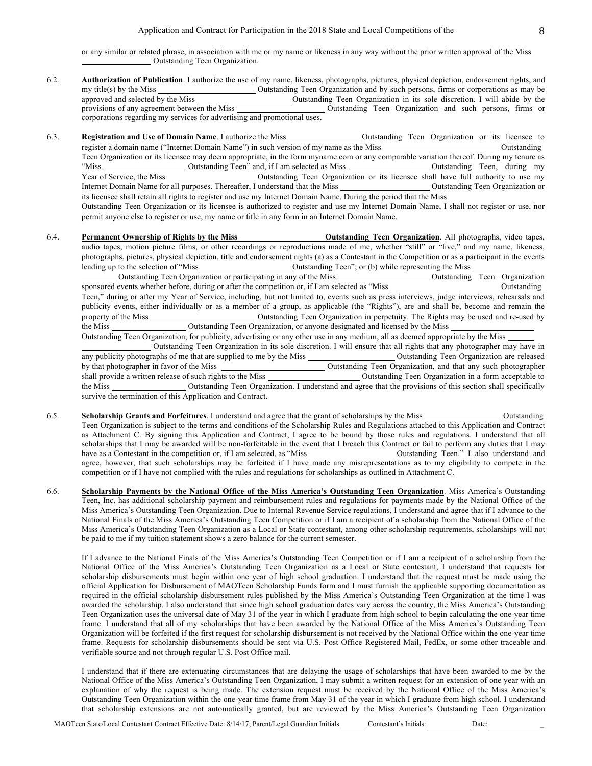or any similar or related phrase, in association with me or my name or likeness in any way without the prior written approval of the Miss Outstanding Teen Organization.

- 6.2. **Authorization of Publication**. I authorize the use of my name, likeness, photographs, pictures, physical depiction, endorsement rights, and my title(s) by the Miss Outstanding Teen Organization and by such persons, firms or corporations as may be approved and selected by the Miss Outstanding Teen Organization in its sole discretion. I will abide by the provisions of any agreement between the Miss Outstanding Teen Organization and such persons, firms or corporations regarding my services for advertising and promotional uses.
- 6.3. **Registration and Use of Domain Name**. I authorize the Miss **Outstanding Teen Organization** or its licensee to register a domain name ("Internet Domain Name") in such version of my name as the Miss Outstanding Teen Organization or its licensee may deem appropriate, in the form myname.com or any comparable variation thereof. During my tenure as "Miss Outstanding Teen" and, if I am selected as Miss Outstanding Teen, during my Year of Service, the Miss Outstanding Teen Organization or its licensee shall have full authority to use my Internet Domain Name for all purposes. Thereafter, I understand that the Miss Outstanding Teen Organization or its licensee shall retain all rights to register and use my Internet Domain Name. During the period that the Miss Outstanding Teen Organization or its licensee is authorized to register and use my Internet Domain Name, I shall not register or use, nor permit anyone else to register or use, my name or title in any form in an Internet Domain Name.
- 6.4. **Permanent Ownership of Rights by the Miss Outstanding Teen Organization**. All photographs, video tapes, audio tapes, motion picture films, or other recordings or reproductions made of me, whether "still" or "live," and my name, likeness, photographs, pictures, physical depiction, title and endorsement rights (a) as a Contestant in the Competition or as a participant in the events leading up to the selection of "Miss Outstanding Teen"; or (b) while representing the Miss Outstanding Teen Organization or participating in any of the Miss Outstanding Teen Organization

sponsored events whether before, during or after the competition or, if I am selected as "Miss Outstanding Outstanding Teen," during or after my Year of Service, including, but not limited to, events such as press interviews, judge interviews, rehearsals and publicity events, either individually or as a member of a group, as applicable (the "Rights"), are and shall be, become and remain the property of the Miss Outstanding Teen Organization in perpetuity. The Rights may be used and re-used by the Miss Outstanding Teen Organization, or anyone designated and licensed by the Miss

Outstanding Teen Organization, for publicity, advertising or any other use in any medium, all as deemed appropriate by the Miss Outstanding Teen Organization in its sole discretion. I will ensure that all rights that any photographer may have in any publicity photographs of me that are supplied to me by the Miss Outstanding Teen Organization are released by that photographer in favor of the Miss Outstanding Teen Organization, and that any such photographer shall provide a written release of such rights to the Miss Outstanding Teen Organization in a form acceptable to the Miss Outstanding Teen Organization. I understand and agree that the provisions of this section shall specifically survive the termination of this Application and Contract.

- 6.5. **Scholarship Grants and Forfeitures**. I understand and agree that the grant of scholarships by the Miss Outstanding Teen Organization is subject to the terms and conditions of the Scholarship Rules and Regulations attached to this Application and Contract as Attachment C. By signing this Application and Contract, I agree to be bound by those rules and regulations. I understand that all scholarships that I may be awarded will be non-forfeitable in the event that I breach this Contract or fail to perform any duties that I may have as a Contestant in the competition or, if I am selected, as "Miss "Outstanding Teen." I also understand and agree, however, that such scholarships may be forfeited if I have made any misrepresentations as to my eligibility to compete in the competition or if I have not complied with the rules and regulations for scholarships as outlined in Attachment C.
- 6.6. **Scholarship Payments by the National Office of the Miss America's Outstanding Teen Organization**. Miss America's Outstanding Teen, Inc. has additional scholarship payment and reimbursement rules and regulations for payments made by the National Office of the Miss America's Outstanding Teen Organization. Due to Internal Revenue Service regulations, I understand and agree that if I advance to the National Finals of the Miss America's Outstanding Teen Competition or if I am a recipient of a scholarship from the National Office of the Miss America's Outstanding Teen Organization as a Local or State contestant, among other scholarship requirements, scholarships will not be paid to me if my tuition statement shows a zero balance for the current semester.

If I advance to the National Finals of the Miss America's Outstanding Teen Competition or if I am a recipient of a scholarship from the National Office of the Miss America's Outstanding Teen Organization as a Local or State contestant, I understand that requests for scholarship disbursements must begin within one year of high school graduation. I understand that the request must be made using the official Application for Disbursement of MAOTeen Scholarship Funds form and I must furnish the applicable supporting documentation as required in the official scholarship disbursement rules published by the Miss America's Outstanding Teen Organization at the time I was awarded the scholarship. I also understand that since high school graduation dates vary across the country, the Miss America's Outstanding Teen Organization uses the universal date of May 31 of the year in which I graduate from high school to begin calculating the one-year time frame. I understand that all of my scholarships that have been awarded by the National Office of the Miss America's Outstanding Teen Organization will be forfeited if the first request for scholarship disbursement is not received by the National Office within the one-year time frame. Requests for scholarship disbursements should be sent via U.S. Post Office Registered Mail, FedEx, or some other traceable and verifiable source and not through regular U.S. Post Office mail.

I understand that if there are extenuating circumstances that are delaying the usage of scholarships that have been awarded to me by the National Office of the Miss America's Outstanding Teen Organization, I may submit a written request for an extension of one year with an explanation of why the request is being made. The extension request must be received by the National Office of the Miss America's Outstanding Teen Organization within the one-year time frame from May 31 of the year in which I graduate from high school. I understand that scholarship extensions are not automatically granted, but are reviewed by the Miss America's Outstanding Teen Organization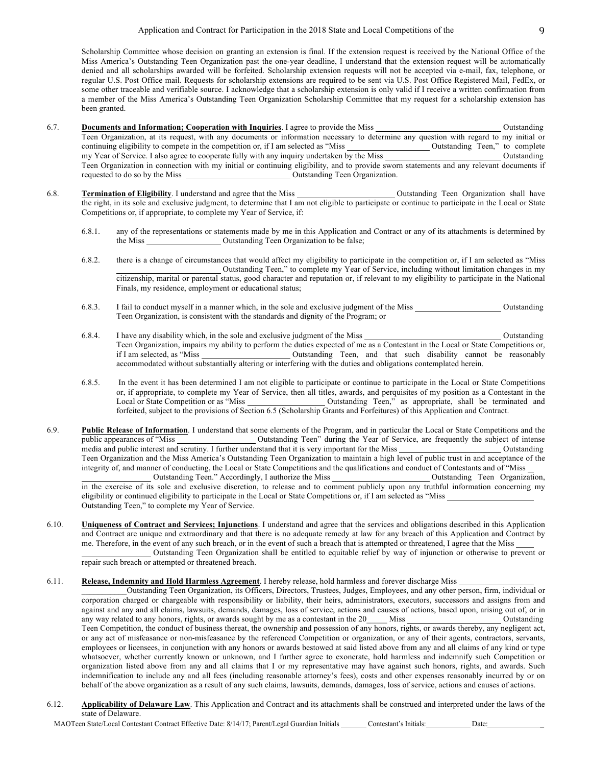Scholarship Committee whose decision on granting an extension is final. If the extension request is received by the National Office of the Miss America's Outstanding Teen Organization past the one-year deadline, I understand that the extension request will be automatically denied and all scholarships awarded will be forfeited. Scholarship extension requests will not be accepted via e-mail, fax, telephone, or regular U.S. Post Office mail. Requests for scholarship extensions are required to be sent via U.S. Post Office Registered Mail, FedEx, or some other traceable and verifiable source. I acknowledge that a scholarship extension is only valid if I receive a written confirmation from a member of the Miss America's Outstanding Teen Organization Scholarship Committee that my request for a scholarship extension has been granted.

- 6.7. **Documents and Information; Cooperation with Inquiries**. I agree to provide the Miss **Conservation** Cutstanding Teen Organization, at its request, with any documents or information necessary to determine any question with regard to my initial or continuing eligibility to compete in the competition or, if I am selected as "Miss Outstanding Teen," to complete my Year of Service. I also agree to cooperate fully with any inquiry undertaken by the Miss Outstanding Teen Organization in connection with my initial or continuing eligibility, and to provide sworn statements and any relevant documents if Outstanding Teen Organization.
- 6.8. **Termination of Eligibility**. I understand and agree that the Miss Outstanding Teen Organization shall have the right, in its sole and exclusive judgment, to determine that I am not eligible to participate or continue to participate in the Local or State Competitions or, if appropriate, to complete my Year of Service, if:
	- 6.8.1. any of the representations or statements made by me in this Application and Contract or any of its attachments is determined by the Miss \_\_\_\_\_\_\_\_\_\_\_\_\_\_\_\_\_\_\_\_\_\_\_\_ Outstanding Teen Organization to be false;
	- 6.8.2. there is a change of circumstances that would affect my eligibility to participate in the competition or, if I am selected as "Miss Outstanding Teen," to complete my Year of Service, including without limitation changes in my citizenship, marital or parental status, good character and reputation or, if relevant to my eligibility to participate in the National Finals, my residence, employment or educational status;
	- 6.8.3. I fail to conduct myself in a manner which, in the sole and exclusive judgment of the Miss Outstanding Teen Organization, is consistent with the standards and dignity of the Program; or
	- 6.8.4. I have any disability which, in the sole and exclusive judgment of the Miss Outstanding Teen Organization, impairs my ability to perform the duties expected of me as a Contestant in the Local or State Competitions or, if I am selected, as "Miss Outstanding Teen, and that such disability cannot be reasonably accommodated without substantially altering or interfering with the duties and obligations contemplated herein.
	- 6.8.5. In the event it has been determined I am not eligible to participate or continue to participate in the Local or State Competitions or, if appropriate, to complete my Year of Service, then all titles, awards, and perquisites of my position as a Contestant in the Local or State Competition or as "Miss Outstanding Teen," as appropriate, shall be terminated and forfeited, subject to the provisions of Section 6.5 (Scholarship Grants and Forfeitures) of this Application and Contract.
- 6.9. **Public Release of Information**. I understand that some elements of the Program, and in particular the Local or State Competitions and the public appearances of "Miss Outstanding Teen" during the Year of Service, are frequently the subject of intense media and public interest and scrutiny. I further understand that it is very important for the Miss Outstanding Teen Organization and the Miss America's Outstanding Teen Organization to maintain a high level of public trust in and acceptance of the integrity of, and manner of conducting, the Local or State Competitions and the qualifications and conduct of Contestants and of "Miss Outstanding Teen." Accordingly, I authorize the Miss \_\_\_\_\_\_\_\_\_\_\_\_\_\_\_\_\_\_\_\_\_\_\_\_\_\_\_\_Outstanding Teen Organization, in the exercise of its sole and exclusive discretion, to release and to comment publicly upon any truthful information concerning my eligibility or continued eligibility to participate in the Local or State Competitions or, if I am selected as "Miss Outstanding Teen," to complete my Year of Service.
- 6.10. **Uniqueness of Contract and Services; Injunctions**. I understand and agree that the services and obligations described in this Application and Contract are unique and extraordinary and that there is no adequate remedy at law for any breach of this Application and Contract by me. Therefore, in the event of any such breach, or in the event of such a breach that is attempted or threatened, I agree that the Miss Outstanding Teen Organization shall be entitled to equitable relief by way of injunction or otherwise to prevent or

repair such breach or attempted or threatened breach.

### 6.11. **Release, Indemnity and Hold Harmless Agreement**. I hereby release, hold harmless and forever discharge Miss

\_\_\_\_\_\_\_\_\_\_\_Outstanding Teen Organization, its Officers, Directors, Trustees, Judges, Employees, and any other person, firm, individual or corporation charged or chargeable with responsibility or liability, their heirs, administrators, executors, successors and assigns from and against and any and all claims, lawsuits, demands, damages, loss of service, actions and causes of actions, based upon, arising out of, or in any way related to any honors, rights, or awards sought by me as a contestant in any way related to any honors, rights, or awards sought by me as a contestant in the 20 Teen Competition, the conduct of business thereat, the ownership and possession of any honors, rights, or awards thereby, any negligent act, or any act of misfeasance or non-misfeasance by the referenced Competition or organization, or any of their agents, contractors, servants, employees or licensees, in conjunction with any honors or awards bestowed at said listed above from any and all claims of any kind or type whatsoever, whether currently known or unknown, and I further agree to exonerate, hold harmless and indemnify such Competition or organization listed above from any and all claims that I or my representative may have against such honors, rights, and awards. Such indemnification to include any and all fees (including reasonable attorney's fees), costs and other expenses reasonably incurred by or on behalf of the above organization as a result of any such claims, lawsuits, demands, damages, loss of service, actions and causes of actions.

6.12. **Applicability of Delaware Law**. This Application and Contract and its attachments shall be construed and interpreted under the laws of the state of Delaware.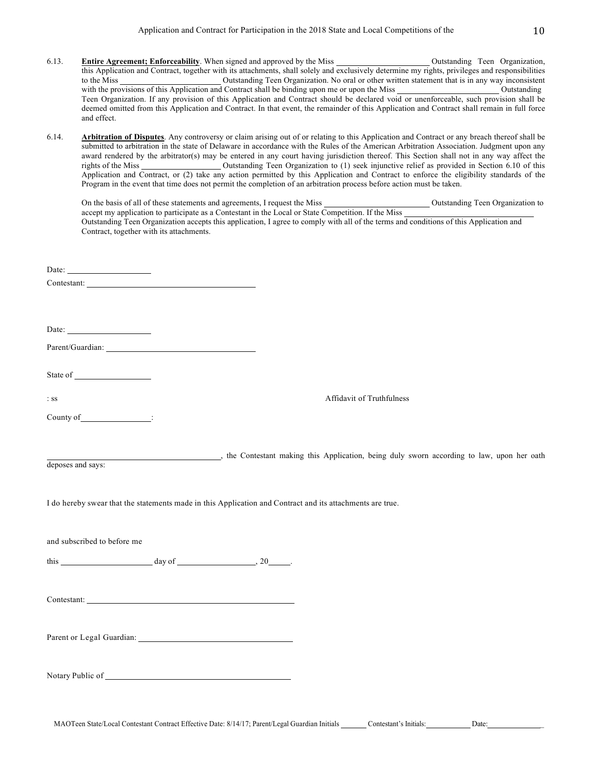- 6.13. **Entire Agreement; Enforceability**. When signed and approved by the Miss Outstanding Teen Organization, this Application and Contract, together with its attachments, shall solely and exclusively determine my rights, privileges and responsibilities to the Miss Cutstanding Teen Organization. No oral or other written statement that is in any way inconsistent with the provisions of this Application and Contract shall be binding upon me or upon the Miss Outstanding Outstanding Teen Organization. If any provision of this Application and Contract should be declared void or unenforceable, such provision shall be deemed omitted from this Application and Contract. In that event, the remainder of this Application and Contract shall remain in full force and effect.
- 6.14. **Arbitration of Disputes**. Any controversy or claim arising out of or relating to this Application and Contract or any breach thereof shall be submitted to arbitration in the state of Delaware in accordance with the Rules of the American Arbitration Association. Judgment upon any award rendered by the arbitrator(s) may be entered in any court having jurisdiction thereof. This Section shall not in any way affect the rights of the Miss Cultum Cultum Outstanding Teen Organization to (1) seek injunctive relief as provided in Section 6.10 of this Application and Contract, or (2) take any action permitted by this Application and Contract to enforce the eligibility standards of the prom in the event that time does not permit the completion of an arbitration process before action must be tak

|                                                                                                                                                                                                                                                                                                                                                                                                     | r rogram in the event that thre does not permit the compretion or an aroutation process before action must be taken.                   |  |
|-----------------------------------------------------------------------------------------------------------------------------------------------------------------------------------------------------------------------------------------------------------------------------------------------------------------------------------------------------------------------------------------------------|----------------------------------------------------------------------------------------------------------------------------------------|--|
|                                                                                                                                                                                                                                                                                                                                                                                                     |                                                                                                                                        |  |
|                                                                                                                                                                                                                                                                                                                                                                                                     |                                                                                                                                        |  |
| Contract, together with its attachments.                                                                                                                                                                                                                                                                                                                                                            | Outstanding Teen Organization accepts this application, I agree to comply with all of the terms and conditions of this Application and |  |
|                                                                                                                                                                                                                                                                                                                                                                                                     |                                                                                                                                        |  |
| Date: $\frac{1}{\sqrt{1-\frac{1}{2}}}\left\{ \frac{1}{2} + \frac{1}{2} + \frac{1}{2} + \frac{1}{2} + \frac{1}{2} + \frac{1}{2} + \frac{1}{2} + \frac{1}{2} + \frac{1}{2} + \frac{1}{2} + \frac{1}{2} + \frac{1}{2} + \frac{1}{2} + \frac{1}{2} + \frac{1}{2} + \frac{1}{2} + \frac{1}{2} + \frac{1}{2} + \frac{1}{2} + \frac{1}{2} + \frac{1}{2} + \frac{1}{2} + \frac{1}{2} + \frac{1}{2} + \frac$ |                                                                                                                                        |  |
|                                                                                                                                                                                                                                                                                                                                                                                                     |                                                                                                                                        |  |
|                                                                                                                                                                                                                                                                                                                                                                                                     |                                                                                                                                        |  |
|                                                                                                                                                                                                                                                                                                                                                                                                     |                                                                                                                                        |  |
| Date: $\frac{1}{2}$                                                                                                                                                                                                                                                                                                                                                                                 |                                                                                                                                        |  |
|                                                                                                                                                                                                                                                                                                                                                                                                     |                                                                                                                                        |  |
|                                                                                                                                                                                                                                                                                                                                                                                                     |                                                                                                                                        |  |
| State of                                                                                                                                                                                                                                                                                                                                                                                            |                                                                                                                                        |  |
|                                                                                                                                                                                                                                                                                                                                                                                                     |                                                                                                                                        |  |
| $:$ SS                                                                                                                                                                                                                                                                                                                                                                                              | Affidavit of Truthfulness                                                                                                              |  |
| $Country of$ :                                                                                                                                                                                                                                                                                                                                                                                      |                                                                                                                                        |  |
|                                                                                                                                                                                                                                                                                                                                                                                                     |                                                                                                                                        |  |
|                                                                                                                                                                                                                                                                                                                                                                                                     | the Contestant making this Application, being duly sworn according to law, upon her oath                                               |  |
| deposes and says:                                                                                                                                                                                                                                                                                                                                                                                   |                                                                                                                                        |  |
|                                                                                                                                                                                                                                                                                                                                                                                                     |                                                                                                                                        |  |
|                                                                                                                                                                                                                                                                                                                                                                                                     | I do hereby swear that the statements made in this Application and Contract and its attachments are true.                              |  |
|                                                                                                                                                                                                                                                                                                                                                                                                     |                                                                                                                                        |  |
|                                                                                                                                                                                                                                                                                                                                                                                                     |                                                                                                                                        |  |
| and subscribed to before me                                                                                                                                                                                                                                                                                                                                                                         |                                                                                                                                        |  |
| this $\frac{1}{2}$ day of $\frac{1}{2}$ day of $\frac{1}{2}$ .                                                                                                                                                                                                                                                                                                                                      |                                                                                                                                        |  |
|                                                                                                                                                                                                                                                                                                                                                                                                     |                                                                                                                                        |  |
|                                                                                                                                                                                                                                                                                                                                                                                                     |                                                                                                                                        |  |
|                                                                                                                                                                                                                                                                                                                                                                                                     |                                                                                                                                        |  |
|                                                                                                                                                                                                                                                                                                                                                                                                     |                                                                                                                                        |  |
|                                                                                                                                                                                                                                                                                                                                                                                                     |                                                                                                                                        |  |
|                                                                                                                                                                                                                                                                                                                                                                                                     |                                                                                                                                        |  |
|                                                                                                                                                                                                                                                                                                                                                                                                     |                                                                                                                                        |  |

Notary Public of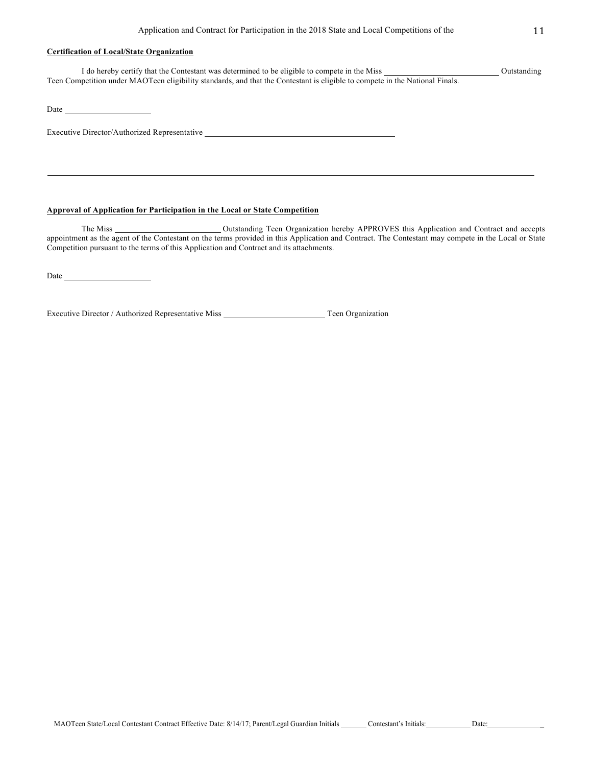## **Certification of Local/State Organization**

I do hereby certify that the Contestant was determined to be eligible to compete in the Miss Outstanding Teen Competition under MAOTeen eligibility standards, and that the Contestant is eligible to compete in the National Finals.

Date has been as a series of the series of the series of the series of the series of the series of the series of the series of the series of the series of the series of the series of the series of the series of the series

Executive Director/Authorized Representative

## **Approval of Application for Participation in the Local or State Competition**

The Miss **Calculate Counting Teen Organization hereby APPROVES** this Application and Contract and accepts appointment as the agent of the Contestant on the terms provided in this Application and Contract. The Contestant may compete in the Local or State Competition pursuant to the terms of this Application and Contract and its attachments.

Date

Executive Director / Authorized Representative Miss Teen Organization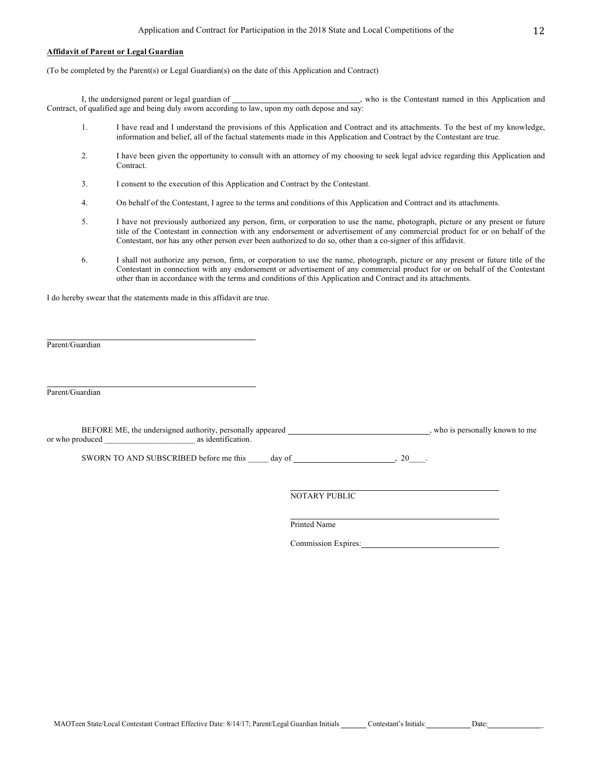### **Affidavit of Parent or Legal Guardian**

(To be completed by the Parent(s) or Legal Guardian(s) on the date of this Application and Contract)

I, the undersigned parent or legal guardian of  $\qquad \qquad$ , who is the Contestant named in this Application and Contract, of qualified age and being duly sworn according to law, upon my oath depose and say:

- 1. I have read and I understand the provisions of this Application and Contract and its attachments. To the best of my knowledge, information and belief, all of the factual statements made in this Application and Contract by the Contestant are true.
- 2. I have been given the opportunity to consult with an attorney of my choosing to seek legal advice regarding this Application and Contract.
- 3. I consent to the execution of this Application and Contract by the Contestant.
- 4. On behalf of the Contestant, I agree to the terms and conditions of this Application and Contract and its attachments.
- 5. I have not previously authorized any person, firm, or corporation to use the name, photograph, picture or any present or future title of the Contestant in connection with any endorsement or advertisement of any commercial product for or on behalf of the Contestant, nor has any other person ever been authorized to do so, other than a co-signer of this affidavit.
- 6. I shall not authorize any person, firm, or corporation to use the name, photograph, picture or any present or future title of the Contestant in connection with any endorsement or advertisement of any commercial product for or on behalf of the Contestant other than in accordance with the terms and conditions of this Application and Contract and its attachments.

I do hereby swear that the statements made in this affidavit are true.

Parent/Guardian

Parent/Guardian

BEFORE ME, the undersigned authority, personally appeared \_\_\_\_\_\_\_\_\_\_\_\_\_\_\_\_\_\_\_\_\_\_\_\_, who is personally known to me or who produced \_\_\_\_\_\_\_\_\_\_\_\_\_\_\_\_\_\_\_\_\_\_ as identification.

SWORN TO AND SUBSCRIBED before me this  $\_\_\_\_$  day of  $\_\_\_\_\_\_\_$ , 20 $\_\_\_\_\$ 

NOTARY PUBLIC

Printed Name

Commission Expires: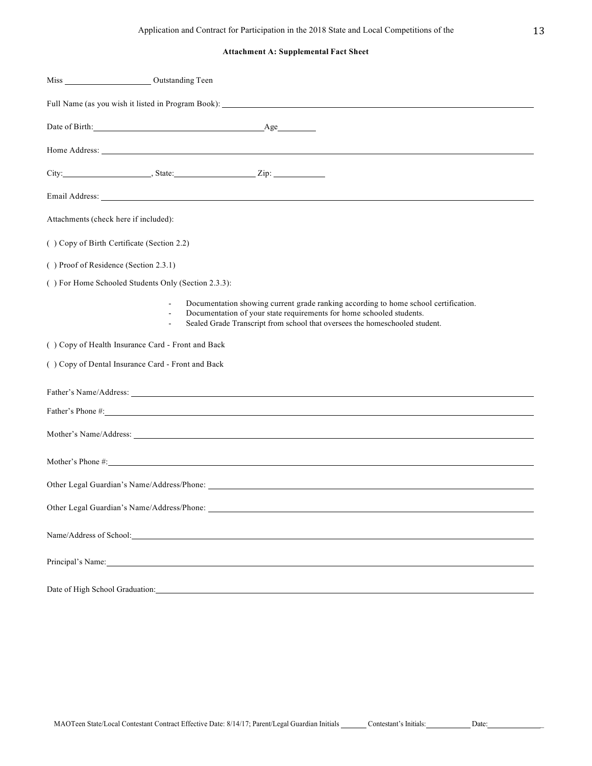# **Attachment A: Supplemental Fact Sheet**

| Miss Outstanding Teen                               |                                                                                                                                                                                                                                            |
|-----------------------------------------------------|--------------------------------------------------------------------------------------------------------------------------------------------------------------------------------------------------------------------------------------------|
|                                                     | Full Name (as you wish it listed in Program Book): ______________________________                                                                                                                                                          |
| Date of Birth: Age                                  |                                                                                                                                                                                                                                            |
|                                                     | Home Address: The Second Second Second Second Second Second Second Second Second Second Second Second Second Second Second Second Second Second Second Second Second Second Second Second Second Second Second Second Second S             |
|                                                     |                                                                                                                                                                                                                                            |
|                                                     |                                                                                                                                                                                                                                            |
| Attachments (check here if included):               |                                                                                                                                                                                                                                            |
| () Copy of Birth Certificate (Section 2.2)          |                                                                                                                                                                                                                                            |
| () Proof of Residence (Section 2.3.1)               |                                                                                                                                                                                                                                            |
| () For Home Schooled Students Only (Section 2.3.3): |                                                                                                                                                                                                                                            |
| $\frac{1}{2}$<br>÷,                                 | Documentation showing current grade ranking according to home school certification.<br>Documentation of your state requirements for home schooled students.<br>Sealed Grade Transcript from school that oversees the homeschooled student. |
| () Copy of Health Insurance Card - Front and Back   |                                                                                                                                                                                                                                            |
| () Copy of Dental Insurance Card - Front and Back   |                                                                                                                                                                                                                                            |
|                                                     |                                                                                                                                                                                                                                            |
|                                                     | Father's Phone #:                                                                                                                                                                                                                          |
|                                                     |                                                                                                                                                                                                                                            |
|                                                     |                                                                                                                                                                                                                                            |
|                                                     |                                                                                                                                                                                                                                            |
|                                                     |                                                                                                                                                                                                                                            |
|                                                     | Name/Address of School:                                                                                                                                                                                                                    |
|                                                     | Principal's Name: University of the Contract of the Contract of the Contract of the Contract of the Contract of the Contract of the Contract of the Contract of the Contract of the Contract of the Contract of the Contract o             |
|                                                     | Date of High School Graduation: Note that the contract of the contract of the contract of the contract of the contract of the contract of the contract of the contract of the contract of the contract of the contract of the              |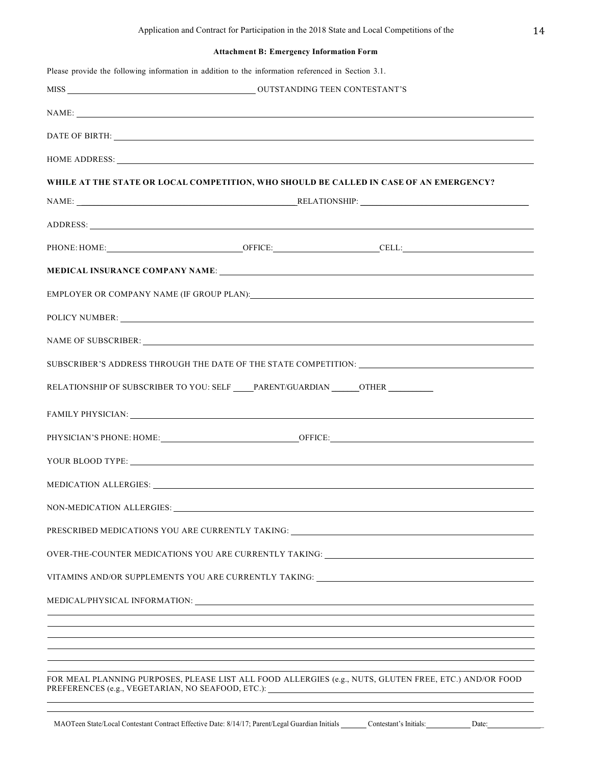# **Attachment B: Emergency Information Form**

|                                                                                   | NAME:                                                                                                                                                                                                                                                                                                                                                                                                                                                                                         |  |
|-----------------------------------------------------------------------------------|-----------------------------------------------------------------------------------------------------------------------------------------------------------------------------------------------------------------------------------------------------------------------------------------------------------------------------------------------------------------------------------------------------------------------------------------------------------------------------------------------|--|
|                                                                                   | DATE OF BIRTH: New York CONSERVATION CONTROL IN THE SERVICE OF BIRTH:                                                                                                                                                                                                                                                                                                                                                                                                                         |  |
|                                                                                   | HOME ADDRESS: Lawrence and the contract of the contract of the contract of the contract of the contract of the contract of the contract of the contract of the contract of the contract of the contract of the contract of the                                                                                                                                                                                                                                                                |  |
|                                                                                   | WHILE AT THE STATE OR LOCAL COMPETITION, WHO SHOULD BE CALLED IN CASE OF AN EMERGENCY?                                                                                                                                                                                                                                                                                                                                                                                                        |  |
| NAME: RELATIONSHIP: RELATIONSHIP:                                                 |                                                                                                                                                                                                                                                                                                                                                                                                                                                                                               |  |
|                                                                                   | ADDRESS: New York Contract the Contract of the Contract of the Contract of the Contract of the Contract of the Contract of the Contract of the Contract of the Contract of the Contract of the Contract of the Contract of the                                                                                                                                                                                                                                                                |  |
|                                                                                   |                                                                                                                                                                                                                                                                                                                                                                                                                                                                                               |  |
|                                                                                   |                                                                                                                                                                                                                                                                                                                                                                                                                                                                                               |  |
|                                                                                   | EMPLOYER OR COMPANY NAME (IF GROUP PLAN): University of the contract of the contract of the contract of the contract of the contract of the contract of the contract of the contract of the contract of the contract of the co                                                                                                                                                                                                                                                                |  |
|                                                                                   |                                                                                                                                                                                                                                                                                                                                                                                                                                                                                               |  |
|                                                                                   | NAME OF SUBSCRIBER: NAME OF SUBSCRIBER:                                                                                                                                                                                                                                                                                                                                                                                                                                                       |  |
|                                                                                   | SUBSCRIBER'S ADDRESS THROUGH THE DATE OF THE STATE COMPETITION: ___________________________________                                                                                                                                                                                                                                                                                                                                                                                           |  |
| RELATIONSHIP OF SUBSCRIBER TO YOU: SELF _____PARENT/GUARDIAN ______OTHER ________ |                                                                                                                                                                                                                                                                                                                                                                                                                                                                                               |  |
|                                                                                   | FAMILY PHYSICIAN: University of the Community of the Community of the Community of the Community of the Community of the Community of the Community of the Community of the Community of the Community of the Community of the                                                                                                                                                                                                                                                                |  |
|                                                                                   |                                                                                                                                                                                                                                                                                                                                                                                                                                                                                               |  |
|                                                                                   |                                                                                                                                                                                                                                                                                                                                                                                                                                                                                               |  |
|                                                                                   |                                                                                                                                                                                                                                                                                                                                                                                                                                                                                               |  |
|                                                                                   |                                                                                                                                                                                                                                                                                                                                                                                                                                                                                               |  |
|                                                                                   |                                                                                                                                                                                                                                                                                                                                                                                                                                                                                               |  |
|                                                                                   |                                                                                                                                                                                                                                                                                                                                                                                                                                                                                               |  |
|                                                                                   |                                                                                                                                                                                                                                                                                                                                                                                                                                                                                               |  |
|                                                                                   |                                                                                                                                                                                                                                                                                                                                                                                                                                                                                               |  |
|                                                                                   | MEDICATION ALLERGIES: University of the contract of the contract of the contract of the contract of the contract of the contract of the contract of the contract of the contract of the contract of the contract of the contra<br>PRESCRIBED MEDICATIONS YOU ARE CURRENTLY TAKING: ________________________________<br>OVER-THE-COUNTER MEDICATIONS YOU ARE CURRENTLY TAKING: __________________________<br>VITAMINS AND/OR SUPPLEMENTS YOU ARE CURRENTLY TAKING: ___________________________ |  |
|                                                                                   | ,我们也不能在这里的时候,我们也不能在这里的时候,我们也不能会在这里的时候,我们也不能会在这里的时候,我们也不能会在这里的时候,我们也不能会在这里的时候,我们也                                                                                                                                                                                                                                                                                                                                                                                                              |  |
|                                                                                   |                                                                                                                                                                                                                                                                                                                                                                                                                                                                                               |  |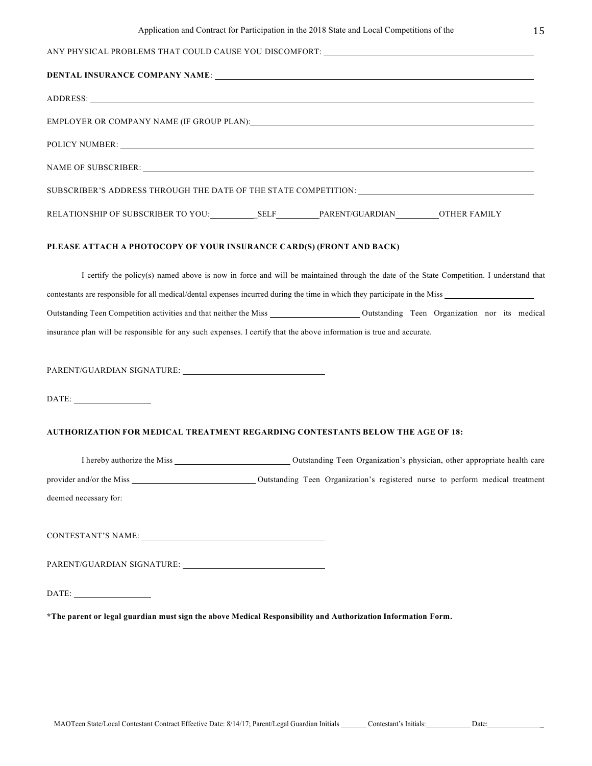I certify the policy(s) named above is now in force and will be maintained through the date of the State Competition. I understand that contestants are responsible for all medical/dental expenses incurred during the time in which they participate in the Miss Outstanding Teen Competition activities and that neither the Miss Outstanding Teen Organization nor its medical insurance plan will be responsible for any such expenses. I certify that the above information is true and accurate.

PARENT/GUARDIAN SIGNATURE: University of the set of the set of the set of the set of the set of the set of the set of the set of the set of the set of the set of the set of the set of the set of the set of the set of the s

DATE:

## **AUTHORIZATION FOR MEDICAL TREATMENT REGARDING CONTESTANTS BELOW THE AGE OF 18:**

| I hereby authorize the Miss | Outstanding Teen Organization's physician, other appropriate health care      |
|-----------------------------|-------------------------------------------------------------------------------|
| provider and/or the Miss    | Outstanding Teen Organization's registered nurse to perform medical treatment |
| deemed necessary for:       |                                                                               |
|                             |                                                                               |
| CONTESTANT'S NAME:          |                                                                               |

PARENT/GUARDIAN SIGNATURE:

DATE:

**\*The parent or legal guardian must sign the above Medical Responsibility and Authorization Information Form.**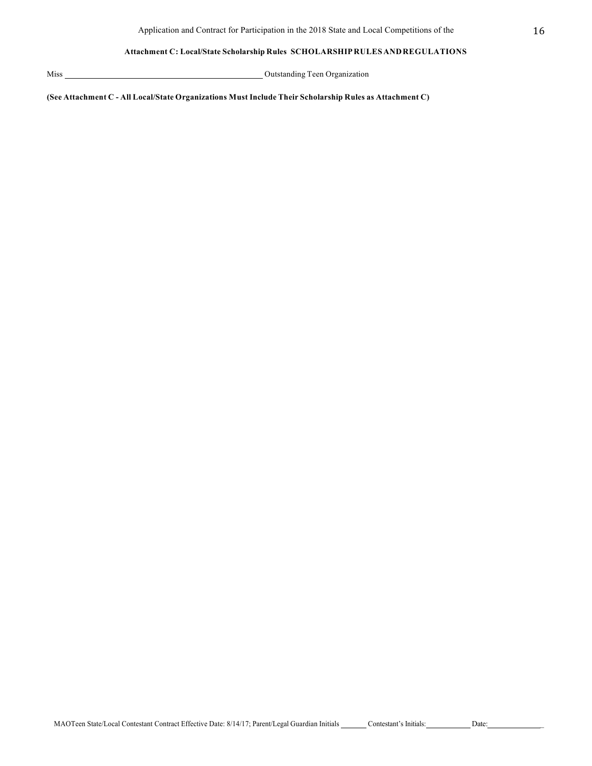## **Attachment C: Local/State Scholarship Rules SCHOLARSHIPRULES ANDREGULATIONS**

Miss Outstanding Teen Organization

**(See Attachment C - All Local/State Organizations Must Include Their Scholarship Rules as Attachment C)**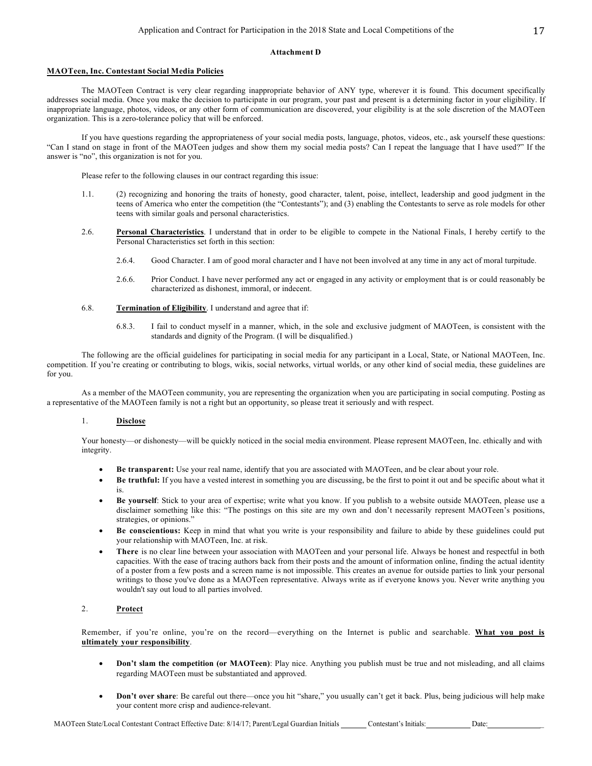### **Attachment D**

### **MAOTeen, Inc. Contestant Social Media Policies**

The MAOTeen Contract is very clear regarding inappropriate behavior of ANY type, wherever it is found. This document specifically addresses social media. Once you make the decision to participate in our program, your past and present is a determining factor in your eligibility. If inappropriate language, photos, videos, or any other form of communication are discovered, your eligibility is at the sole discretion of the MAOTeen organization. This is a zero-tolerance policy that will be enforced.

If you have questions regarding the appropriateness of your social media posts, language, photos, videos, etc., ask yourself these questions: "Can I stand on stage in front of the MAOTeen judges and show them my social media posts? Can I repeat the language that I have used?" If the answer is "no", this organization is not for you.

Please refer to the following clauses in our contract regarding this issue:

- 1.1. (2) recognizing and honoring the traits of honesty, good character, talent, poise, intellect, leadership and good judgment in the teens of America who enter the competition (the "Contestants"); and (3) enabling the Contestants to serve as role models for other teens with similar goals and personal characteristics.
- 2.6. **Personal Characteristics**. I understand that in order to be eligible to compete in the National Finals, I hereby certify to the Personal Characteristics set forth in this section:
	- 2.6.4. Good Character. I am of good moral character and I have not been involved at any time in any act of moral turpitude.
	- 2.6.6. Prior Conduct. I have never performed any act or engaged in any activity or employment that is or could reasonably be characterized as dishonest, immoral, or indecent.
- 6.8. **Termination of Eligibility**. I understand and agree that if:
	- 6.8.3. I fail to conduct myself in a manner, which, in the sole and exclusive judgment of MAOTeen, is consistent with the standards and dignity of the Program. (I will be disqualified.)

The following are the official guidelines for participating in social media for any participant in a Local, State, or National MAOTeen, Inc. competition. If you're creating or contributing to blogs, wikis, social networks, virtual worlds, or any other kind of social media, these guidelines are for you.

As a member of the MAOTeen community, you are representing the organization when you are participating in social computing. Posting as a representative of the MAOTeen family is not a right but an opportunity, so please treat it seriously and with respect.

### 1. **Disclose**

Your honesty—or dishonesty—will be quickly noticed in the social media environment. Please represent MAOTeen, Inc. ethically and with integrity.

- **Be transparent:** Use your real name, identify that you are associated with MAOTeen, and be clear about your role.
- **Be truthful:** If you have a vested interest in something you are discussing, be the first to point it out and be specific about what it is.
- **Be yourself**: Stick to your area of expertise; write what you know. If you publish to a website outside MAOTeen, please use a disclaimer something like this: "The postings on this site are my own and don't necessarily represent MAOTeen's positions, strategies, or opinions."
- **Be conscientious:** Keep in mind that what you write is your responsibility and failure to abide by these guidelines could put your relationship with MAOTeen, Inc. at risk.
- **There** is no clear line between your association with MAOTeen and your personal life. Always be honest and respectful in both capacities. With the ease of tracing authors back from their posts and the amount of information online, finding the actual identity of a poster from a few posts and a screen name is not impossible. This creates an avenue for outside parties to link your personal writings to those you've done as a MAOTeen representative. Always write as if everyone knows you. Never write anything you wouldn't say out loud to all parties involved.

## 2. **Protect**

Remember, if you're online, you're on the record—everything on the Internet is public and searchable. **What you post is ultimately your responsibility**.

- **Don't slam the competition (or MAOTeen)**: Play nice. Anything you publish must be true and not misleading, and all claims regarding MAOTeen must be substantiated and approved.
- **Don't over share**: Be careful out there—once you hit "share," you usually can't get it back. Plus, being judicious will help make your content more crisp and audience-relevant.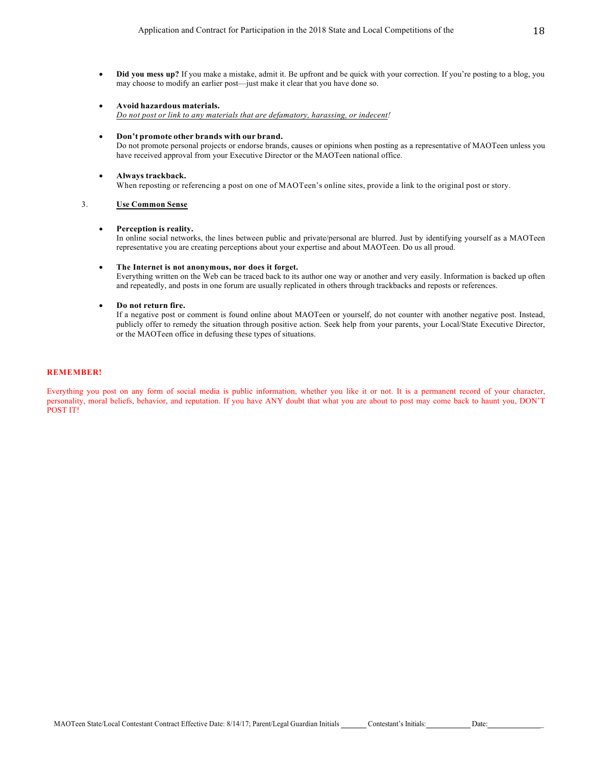- **Did you mess up?** If you make a mistake, admit it. Be upfront and be quick with your correction. If you're posting to a blog, you may choose to modify an earlier post—just make it clear that you have done so.
- **Avoid hazardous materials.** *Do not post or link to any materials that are defamatory, harassing, or indecent!*
- **Don't promote other brands with our brand.**

Do not promote personal projects or endorse brands, causes or opinions when posting as a representative of MAOTeen unless you have received approval from your Executive Director or the MAOTeen national office.

• **Always trackback.** When reposting or referencing a post on one of MAOTeen's online sites, provide a link to the original post or story.

## 3. **Use Common Sense**

#### • **Perception is reality.**

In online social networks, the lines between public and private/personal are blurred. Just by identifying yourself as a MAOTeen representative you are creating perceptions about your expertise and about MAOTeen. Do us all proud.

#### • **The Internet is not anonymous, nor does it forget.**

Everything written on the Web can be traced back to its author one way or another and very easily. Information is backed up often and repeatedly, and posts in one forum are usually replicated in others through trackbacks and reposts or references.

### • **Do not return fire.**

If a negative post or comment is found online about MAOTeen or yourself, do not counter with another negative post. Instead, publicly offer to remedy the situation through positive action. Seek help from your parents, your Local/State Executive Director, or the MAOTeen office in defusing these types of situations.

### **REMEMBER!**

Everything you post on any form of social media is public information, whether you like it or not. It is a permanent record of your character, personality, moral beliefs, behavior, and reputation. If you have ANY doubt that what you are about to post may come back to haunt you, DON'T POST IT!